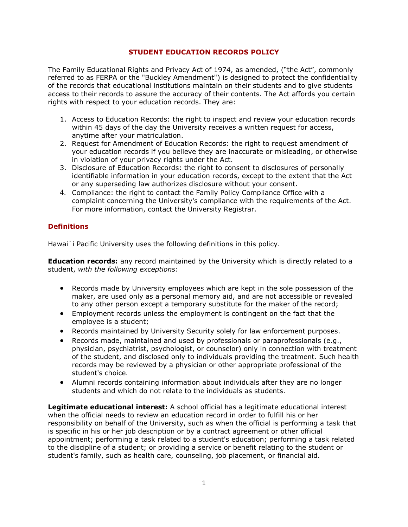## **STUDENT EDUCATION RECORDS POLICY**

The Family Educational Rights and Privacy Act of 1974, as amended, ("the Act", commonly referred to as FERPA or the "Buckley Amendment") is designed to protect the confidentiality of the records that educational institutions maintain on their students and to give students access to their records to assure the accuracy of their contents. The Act affords you certain rights with respect to your education records. They are:

- 1. [Access to Education Records:](http://registrar.wlu.edu/policies/ferpa.htm#review) the right to inspect and review your education records within 45 days of the day the University receives a written request for access, anytime after your matriculation.
- 2. [Request for Amendment of Education Records:](http://registrar.wlu.edu/policies/ferpa.htm#correct) the right to request amendment of your education records if you believe they are inaccurate or misleading, or otherwise in violation of your privacy rights under the Act.
- 3. [Disclosure of Education Records:](http://registrar.wlu.edu/policies/ferpa.htm#disc) the right to consent to disclosures of personally identifiable information in your education records, except to the extent that the Act or any superseding law authorizes disclosure without your consent.
- 4. [Compliance:](http://registrar.wlu.edu/policies/ferpa.htm#comp) the right to contact the Family Policy Compliance Office with a complaint concerning the University's compliance with the requirements of the Act. For more information, contact the University Registrar.

# **Definitions**

Hawai`i Pacific University uses the following definitions in this policy.

**Education records:** any record maintained by the University which is directly related to a student, *with the following exceptions*:

- Records made by University employees which are kept in the sole possession of the maker, are used only as a personal memory aid, and are not accessible or revealed to any other person except a temporary substitute for the maker of the record;
- Employment records unless the employment is contingent on the fact that the employee is a student;
- Records maintained by University Security solely for law enforcement purposes.
- Records made, maintained and used by professionals or paraprofessionals (e.g., physician, psychiatrist, psychologist, or counselor) only in connection with treatment of the student, and disclosed only to individuals providing the treatment. Such health records may be reviewed by a physician or other appropriate professional of the student's choice.
- Alumni records containing information about individuals after they are no longer students and which do not relate to the individuals as students.

**Legitimate educational interest:** A school official has a legitimate educational interest when the official needs to review an education record in order to fulfill his or her responsibility on behalf of the University, such as when the official is performing a task that is specific in his or her job description or by a contract agreement or other official appointment; performing a task related to a student's education; performing a task related to the discipline of a student; or providing a service or benefit relating to the student or student's family, such as health care, counseling, job placement, or financial aid.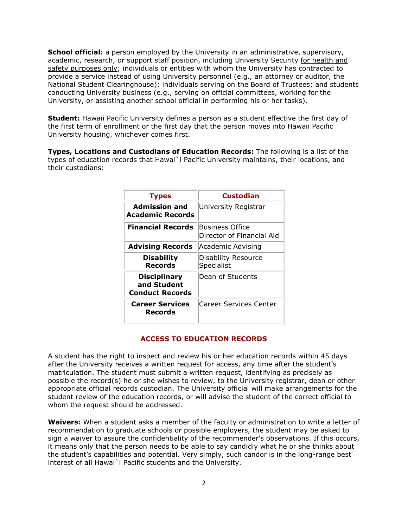**School official:** a person employed by the University in an administrative, supervisory, academic, research, or support staff position, including University Security for health and safety purposes only; individuals or entities with whom the University has contracted to provide a service instead of using University personnel (e.g., an attorney or auditor, the National Student Clearinghouse); individuals serving on the Board of Trustees; and students conducting University business (e.g., serving on official committees, working for the University, or assisting another school official in performing his or her tasks).

**Student:** Hawaii Pacific University defines a person as a student effective the first day of the first term of enrollment or the first day that the person moves into Hawaii Pacific University housing, whichever comes first.

**Types, Locations and Custodians of Education Records:** The following is a list of the types of education records that Hawai`i Pacific University maintains, their locations, and their custodians:

| <b>Types</b>                                                 | <b>Custodian</b>                             |
|--------------------------------------------------------------|----------------------------------------------|
| <b>Admission and</b><br><b>Academic Records</b>              | University Registrar                         |
| <b>Financial Records</b>                                     | Business Office<br>Director of Financial Aid |
| <b>Advising Records</b>                                      | Academic Advising                            |
| <b>Disability</b><br><b>Records</b>                          | Disability Resource<br>Specialist            |
| <b>Disciplinary</b><br>and Student<br><b>Conduct Records</b> | Dean of Students                             |
| <b>Career Services</b><br>Records                            | Career Services Center                       |

#### **ACCESS TO EDUCATION RECORDS**

A student has the right to inspect and review his or her education records within 45 days after the University receives a written request for access, any time after the student's matriculation. The student must submit a written request, identifying as precisely as possible the record(s) he or she wishes to review, to the University registrar, dean or other appropriate official records custodian. The University official will make arrangements for the student review of the education records, or will advise the student of the correct official to whom the request should be addressed.

**Waivers:** When a student asks a member of the faculty or administration to write a letter of recommendation to graduate schools or possible employers, the student may be asked to sign a waiver to assure the confidentiality of the recommender's observations. If this occurs, it means only that the person needs to be able to say candidly what he or she thinks about the student's capabilities and potential. Very simply, such candor is in the long-range best interest of all Hawai`i Pacific students and the University.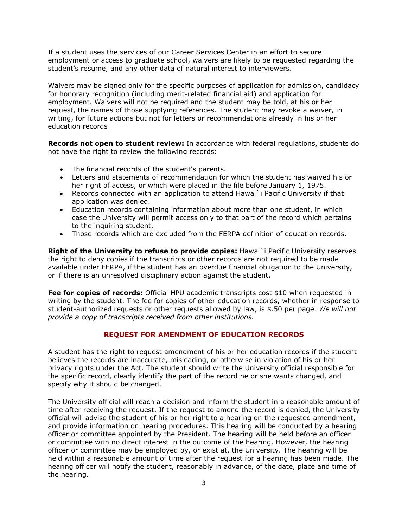If a student uses the services of our Career Services Center in an effort to secure employment or access to graduate school, waivers are likely to be requested regarding the student's resume, and any other data of natural interest to interviewers.

Waivers may be signed only for the specific purposes of application for admission, candidacy for honorary recognition (including merit-related financial aid) and application for employment. Waivers will not be required and the student may be told, at his or her request, the names of those supplying references. The student may revoke a waiver, in writing, for future actions but not for letters or recommendations already in his or her education records

**Records not open to student review:** In accordance with federal regulations, students do not have the right to review the following records:

- The financial records of the student's parents.
- Letters and statements of recommendation for which the student has waived his or her right of access, or which were placed in the file before January 1, 1975.
- Records connected with an application to attend Hawai`i Pacific University if that application was denied.
- Education records containing information about more than one student, in which case the University will permit access only to that part of the record which pertains to the inquiring student.
- Those records which are excluded from the FERPA definition of education records.

**Right of the University to refuse to provide copies:** Hawai`i Pacific University reserves the right to deny copies if the transcripts or other records are not required to be made available under FERPA, if the student has an overdue financial obligation to the University, or if there is an unresolved disciplinary action against the student.

**Fee for copies of records:** Official HPU academic transcripts cost \$10 when requested in writing by the student. The fee for copies of other education records, whether in response to student-authorized requests or other requests allowed by law, is \$.50 per page. *We will not provide a copy of transcripts received from other institutions.*

# **REQUEST FOR AMENDMENT OF EDUCATION RECORDS**

A student has the right to request amendment of his or her education records if the student believes the records are inaccurate, misleading, or otherwise in violation of his or her privacy rights under the Act. The student should write the [University official responsible](http://registrar.wlu.edu/policies/ferpa.htm#custodian) for the specific record, clearly identify the part of the record he or she wants changed, and specify why it should be changed.

The University official will reach a decision and inform the student in a reasonable amount of time after receiving the request. If the request to amend the record is denied, the University official will advise the student of his or her right to a hearing on the requested amendment, and provide information on hearing procedures. This hearing will be conducted by a hearing officer or committee appointed by the President. The hearing will be held before an officer or committee with no direct interest in the outcome of the hearing. However, the hearing officer or committee may be employed by, or exist at, the University. The hearing will be held within a reasonable amount of time after the request for a hearing has been made. The hearing officer will notify the student, reasonably in advance, of the date, place and time of the hearing.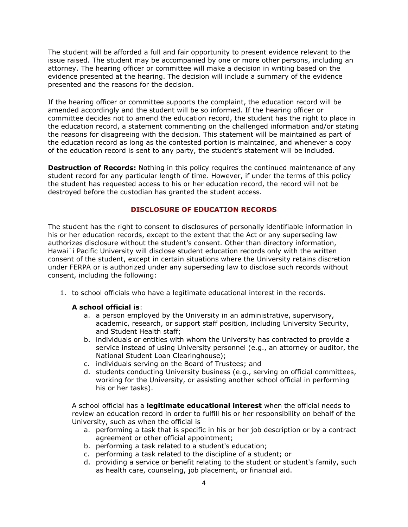The student will be afforded a full and fair opportunity to present evidence relevant to the issue raised. The student may be accompanied by one or more other persons, including an attorney. The hearing officer or committee will make a decision in writing based on the evidence presented at the hearing. The decision will include a summary of the evidence presented and the reasons for the decision.

If the hearing officer or committee supports the complaint, the education record will be amended accordingly and the student will be so informed. If the hearing officer or committee decides not to amend the education record, the student has the right to place in the education record, a statement commenting on the challenged information and/or stating the reasons for disagreeing with the decision. This statement will be maintained as part of the education record as long as the contested portion is maintained, and whenever a copy of the education record is sent to any party, the student's statement will be included.

**Destruction of Records:** Nothing in this policy requires the continued maintenance of any student record for any particular length of time. However, if under the terms of this policy the student has requested access to his or her education record, the record will not be destroyed before the custodian has granted the student access.

## **DISCLOSURE OF EDUCATION RECORDS**

The student has the right to consent to disclosures of personally identifiable information in his or her education records, except to the extent that the Act or any superseding law authorizes disclosure without the student's consent. Other than directory information, Hawai`i Pacific University will disclose student education records only with the written consent of the student, except in certain situations where the University retains discretion under FERPA or is authorized under any superseding law to disclose such records without consent, including the following:

1. to school officials who have a legitimate educational interest in the records.

## **A school official is**:

- a. a person employed by the University in an administrative, supervisory, academic, research, or support staff position, including University Security, and Student Health staff;
- b. individuals or entities with whom the University has contracted to provide a service instead of using University personnel (e.g., an attorney or auditor, the National Student Loan Clearinghouse);
- c. individuals serving on the Board of Trustees; and
- d. students conducting University business (e.g., serving on official committees, working for the University, or assisting another school official in performing his or her tasks).

A school official has a **legitimate educational interest** when the official needs to review an education record in order to fulfill his or her responsibility on behalf of the University, such as when the official is

- a. performing a task that is specific in his or her job description or by a contract agreement or other official appointment;
- b. performing a task related to a student's education;
- c. performing a task related to the discipline of a student; or
- d. providing a service or benefit relating to the student or student's family, such as health care, counseling, job placement, or financial aid.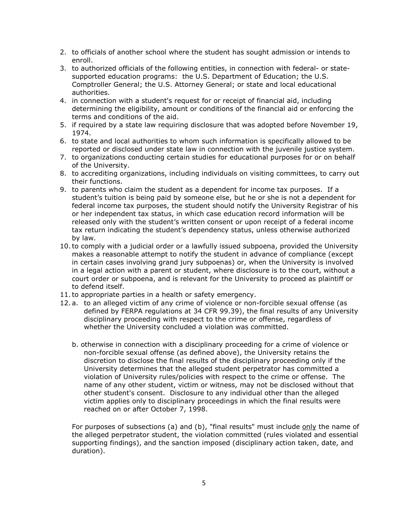- 2. to officials of another school where the student has sought admission or intends to enroll.
- 3. to authorized officials of the following entities, in connection with federal- or statesupported education programs: the U.S. Department of Education; the U.S. Comptroller General; the U.S. Attorney General; or state and local educational authorities.
- 4. in connection with a student's request for or receipt of financial aid, including determining the eligibility, amount or conditions of the financial aid or enforcing the terms and conditions of the aid.
- 5. if required by a state law requiring disclosure that was adopted before November 19, 1974.
- 6. to state and local authorities to whom such information is specifically allowed to be reported or disclosed under state law in connection with the juvenile justice system.
- 7. to organizations conducting certain studies for educational purposes for or on behalf of the University.
- 8. to accrediting organizations, including individuals on visiting committees, to carry out their functions.
- 9. to parents who claim the student as a dependent for income tax purposes. If a student's tuition is being paid by someone else, but he or she is not a dependent for federal income tax purposes, the student should notify the [University Registrar](mailto:%20registrar@wlu.edu) of his or her independent tax status, in which case education record information will be released only with the student's written consent or upon receipt of a federal income tax return indicating the student's dependency status, unless otherwise authorized by law.
- 10.to comply with a judicial order or a lawfully issued subpoena, provided the University makes a reasonable attempt to notify the student in advance of compliance (except in certain cases involving grand jury subpoenas) or, when the University is involved in a legal action with a parent or student, where disclosure is to the court, without a court order or subpoena, and is relevant for the University to proceed as plaintiff or to defend itself.
- 11.to appropriate parties in a health or safety emergency.
- 12. a. to an alleged victim of any crime of violence or non-forcible sexual offense (as defined by FERPA regulations at 34 CFR 99.39), the final results of any University disciplinary proceeding with respect to the crime or offense, regardless of whether the University concluded a violation was committed.
	- b. otherwise in connection with a disciplinary proceeding for a crime of violence or non-forcible sexual offense (as defined above), the University retains the discretion to disclose the final results of the disciplinary proceeding only if the University determines that the alleged student perpetrator has committed a violation of University rules/policies with respect to the crime or offense. The name of any other student, victim or witness, may not be disclosed without that other student's consent. Disclosure to any individual other than the alleged victim applies only to disciplinary proceedings in which the final results were reached on or after October 7, 1998.

For purposes of subsections (a) and (b), "final results" must include only the name of the alleged perpetrator student, the violation committed (rules violated and essential supporting findings), and the sanction imposed (disciplinary action taken, date, and duration).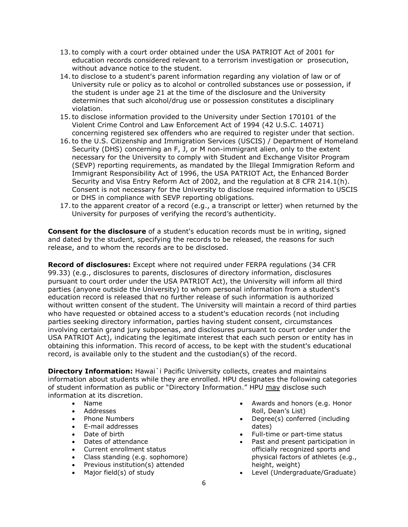- 13.to comply with a court order obtained under the [USA PATRIOT Act of 2001](http://thomas.loc.gov/cgi-bin/bdquery/z?d107:HR03162:|TOM:/bss/d107query.html|) for education records considered relevant to a terrorism investigation or prosecution, without advance notice to the student.
- 14.to disclose to a student's parent information regarding any violation of law or of University rule or policy as to alcohol or controlled substances use or possession, if the student is under age 21 at the time of the disclosure and the University determines that such alcohol/drug use or possession constitutes a disciplinary violation.
- 15.to disclose information provided to the University under Section 170101 of the Violent Crime Control and Law Enforcement Act of 1994 (42 U.S.C. 14071) concerning registered sex offenders who are required to register under that section.
- 16.to the [U.S. Citizenship and Immigration Services](http://uscis.gov/) (USCIS) / [Department of Homeland](http://www.dhs.gov/)  [Security](http://www.dhs.gov/) (DHS) concerning an F, J, or M non-immigrant alien, only to the extent necessary for the University to comply with [Student and Exchange Visitor Program](http://uscis.gov/graphics/shared/sevis/) (SEVP) reporting requirements, as mandated by the Illegal Immigration Reform and Immigrant Responsibility Act of 1996, the [USA PATRIOT Act,](http://thomas.loc.gov/cgi-bin/bdquery/z?d107:HR03162:|TOM:/bss/d107query.html|) the Enhanced Border Security and Visa Entry Reform Act of 2002, and the regulation at 8 CFR 214.1(h). Consent is not necessary for the University to disclose required information to [USCIS](http://uscis.gov/) or [DHS](http://www.dhs.gov/) in compliance with [SEVP](http://uscis.gov/graphics/shared/sevis/) reporting obligations.
- 17.to the apparent creator of a record (e.g., a transcript or letter) when returned by the University for purposes of verifying the record's authenticity.

**Consent for the disclosure** of a student's education records must be in writing, signed and dated by the student, specifying the records to be released, the reasons for such release, and to whom the records are to be disclosed.

**Record of disclosures:** Except where not required under FERPA regulations (34 CFR 99.33) (e.g., disclosures to parents, disclosures of directory information, disclosures pursuant to court order under the [USA PATRIOT Act\)](http://thomas.loc.gov/cgi-bin/bdquery/z?d107:HR03162:|TOM:/bss/d107query.html|), the University will inform all third parties (anyone outside the University) to whom personal information from a student's education record is released that no further release of such information is authorized without written consent of the student. The University will maintain a record of third parties who have requested or obtained access to a student's education records (not including parties seeking directory information, parties having student consent, circumstances involving certain grand jury subpoenas, and disclosures pursuant to court order under the [USA PATRIOT Act\)](http://thomas.loc.gov/cgi-bin/bdquery/z?d107:HR03162:|TOM:/bss/d107query.html|), indicating the legitimate interest that each such person or entity has in obtaining this information. This record of access, to be kept with the student's educational record, is available only to the student and the custodian(s) of the record.

**Directory Information:** Hawai`i Pacific University collects, creates and maintains information about students while they are enrolled. HPU designates the following categories of student information as public or "Directory Information." HPU may disclose such information at its discretion.

- Name
- Addresses
- Phone Numbers
- E-mail addresses
- Date of birth
- Dates of attendance
- Current enrollment status
- Class standing (e.g. sophomore)
- Previous institution(s) attended
- Major field(s) of study
- Awards and honors (e.g. Honor Roll, Dean's List)
- Degree(s) conferred (including dates)
- Full-time or part-time status
- Past and present participation in officially recognized sports and physical factors of athletes (e.g., height, weight)
- Level (Undergraduate/Graduate)